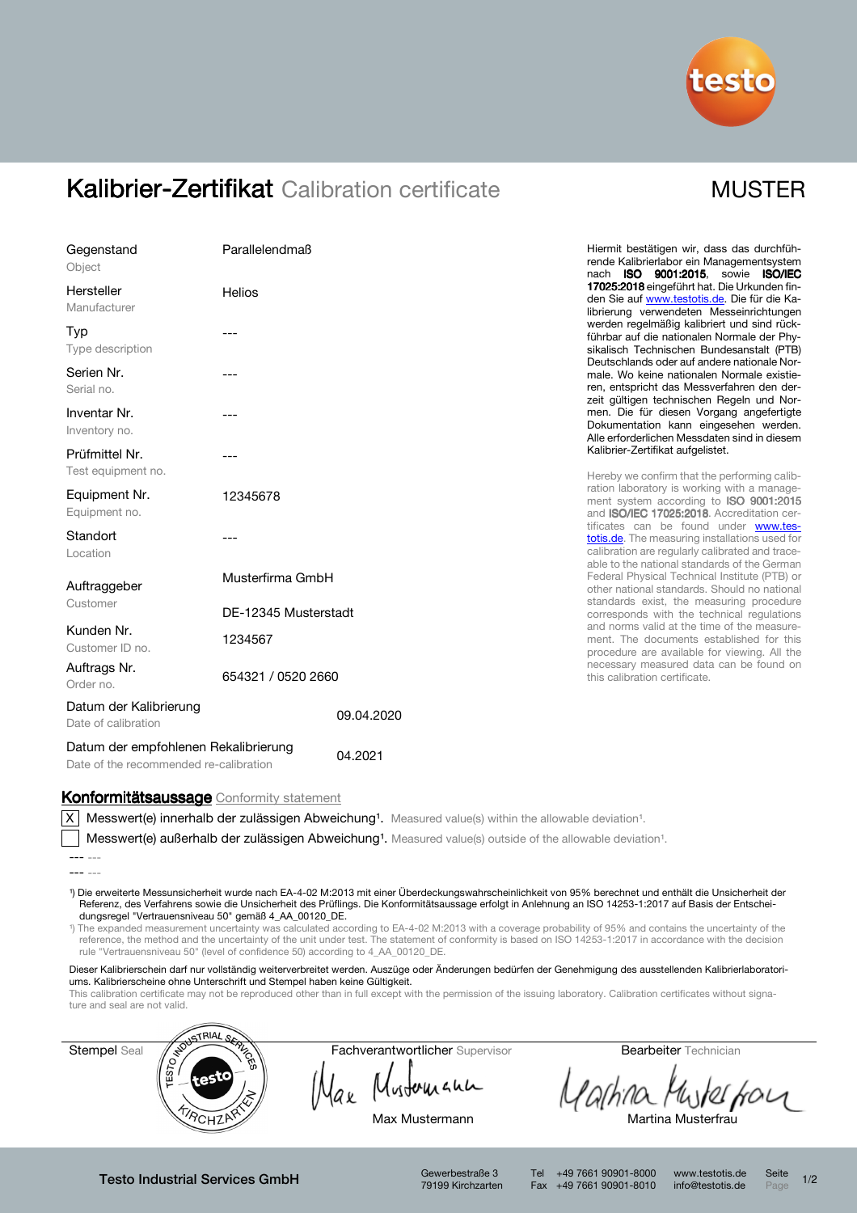

## Kalibrier-Zertifikat Calibration certificate MUSTER

| Gegenstand<br>Object                                                                                                                                                                                                                                                                                                                                                                                                                                                                                                                                  | Parallelendmaß                                  | Hiermit bestätigen wir, dass das durchfüh-<br>rende Kalibrierlabor ein Managementsystem<br>nach ISO 9001:2015, sowie ISO/IEC                                                                                                                                                                                                                                                                                                                                                                                                                                                                                                                                                                                                                        |  |
|-------------------------------------------------------------------------------------------------------------------------------------------------------------------------------------------------------------------------------------------------------------------------------------------------------------------------------------------------------------------------------------------------------------------------------------------------------------------------------------------------------------------------------------------------------|-------------------------------------------------|-----------------------------------------------------------------------------------------------------------------------------------------------------------------------------------------------------------------------------------------------------------------------------------------------------------------------------------------------------------------------------------------------------------------------------------------------------------------------------------------------------------------------------------------------------------------------------------------------------------------------------------------------------------------------------------------------------------------------------------------------------|--|
| Hersteller<br>Manufacturer                                                                                                                                                                                                                                                                                                                                                                                                                                                                                                                            | Helios                                          | 17025:2018 eingeführt hat. Die Urkunden fin-<br>den Sie auf www.testotis.de. Die für die Ka-<br>librierung verwendeten Messeinrichtungen<br>werden regelmäßig kalibriert und sind rück-<br>führbar auf die nationalen Normale der Phy-<br>sikalisch Technischen Bundesanstalt (PTB)<br>Deutschlands oder auf andere nationale Nor-<br>male. Wo keine nationalen Normale existie-<br>ren, entspricht das Messverfahren den der-<br>zeit gültigen technischen Regeln und Nor-<br>men. Die für diesen Vorgang angefertigte<br>Dokumentation kann eingesehen werden.<br>Alle erforderlichen Messdaten sind in diesem                                                                                                                                    |  |
| Typ<br>Type description                                                                                                                                                                                                                                                                                                                                                                                                                                                                                                                               |                                                 |                                                                                                                                                                                                                                                                                                                                                                                                                                                                                                                                                                                                                                                                                                                                                     |  |
| Serien Nr.<br>Serial no.                                                                                                                                                                                                                                                                                                                                                                                                                                                                                                                              |                                                 |                                                                                                                                                                                                                                                                                                                                                                                                                                                                                                                                                                                                                                                                                                                                                     |  |
| Inventar Nr.<br>Inventory no.                                                                                                                                                                                                                                                                                                                                                                                                                                                                                                                         |                                                 |                                                                                                                                                                                                                                                                                                                                                                                                                                                                                                                                                                                                                                                                                                                                                     |  |
| Prüfmittel Nr.<br>Test equipment no.                                                                                                                                                                                                                                                                                                                                                                                                                                                                                                                  |                                                 | Kalibrier-Zertifikat aufgelistet.<br>Hereby we confirm that the performing calib-                                                                                                                                                                                                                                                                                                                                                                                                                                                                                                                                                                                                                                                                   |  |
| Equipment Nr.<br>Equipment no.                                                                                                                                                                                                                                                                                                                                                                                                                                                                                                                        | 12345678                                        | ration laboratory is working with a manage-<br>ment system according to ISO 9001:2015<br>and ISO/IEC 17025:2018. Accreditation cer-<br>tificates can be found under www.tes-<br>totis.de. The measuring installations used for<br>calibration are regularly calibrated and trace-<br>able to the national standards of the German<br>Federal Physical Technical Institute (PTB) or<br>other national standards. Should no national<br>standards exist, the measuring procedure<br>corresponds with the technical regulations<br>and norms valid at the time of the measure-<br>ment. The documents established for this<br>procedure are available for viewing. All the<br>necessary measured data can be found on<br>this calibration certificate. |  |
| Standort<br>Location                                                                                                                                                                                                                                                                                                                                                                                                                                                                                                                                  |                                                 |                                                                                                                                                                                                                                                                                                                                                                                                                                                                                                                                                                                                                                                                                                                                                     |  |
| Auftraggeber                                                                                                                                                                                                                                                                                                                                                                                                                                                                                                                                          | Musterfirma GmbH                                |                                                                                                                                                                                                                                                                                                                                                                                                                                                                                                                                                                                                                                                                                                                                                     |  |
| Customer                                                                                                                                                                                                                                                                                                                                                                                                                                                                                                                                              | DE-12345 Musterstadt                            |                                                                                                                                                                                                                                                                                                                                                                                                                                                                                                                                                                                                                                                                                                                                                     |  |
| Kunden Nr.<br>Customer ID no.                                                                                                                                                                                                                                                                                                                                                                                                                                                                                                                         | 1234567                                         |                                                                                                                                                                                                                                                                                                                                                                                                                                                                                                                                                                                                                                                                                                                                                     |  |
| Auftrags Nr.<br>Order no.                                                                                                                                                                                                                                                                                                                                                                                                                                                                                                                             | 654321 / 0520 2660                              |                                                                                                                                                                                                                                                                                                                                                                                                                                                                                                                                                                                                                                                                                                                                                     |  |
| Datum der Kalibrierung<br>Date of calibration                                                                                                                                                                                                                                                                                                                                                                                                                                                                                                         | 09.04.2020                                      |                                                                                                                                                                                                                                                                                                                                                                                                                                                                                                                                                                                                                                                                                                                                                     |  |
| Datum der empfohlenen Rekalibrierung<br>04.2021<br>Date of the recommended re-calibration                                                                                                                                                                                                                                                                                                                                                                                                                                                             |                                                 |                                                                                                                                                                                                                                                                                                                                                                                                                                                                                                                                                                                                                                                                                                                                                     |  |
| Konformitätsaussage Conformity statement                                                                                                                                                                                                                                                                                                                                                                                                                                                                                                              |                                                 |                                                                                                                                                                                                                                                                                                                                                                                                                                                                                                                                                                                                                                                                                                                                                     |  |
| Messwert(e) innerhalb der zulässigen Abweichung <sup>1</sup> . Measured value(s) within the allowable deviation <sup>1</sup> .<br>ΧI                                                                                                                                                                                                                                                                                                                                                                                                                  |                                                 |                                                                                                                                                                                                                                                                                                                                                                                                                                                                                                                                                                                                                                                                                                                                                     |  |
| Messwert(e) außerhalb der zulässigen Abweichung <sup>1</sup> . Measured value(s) outside of the allowable deviation <sup>1</sup> .                                                                                                                                                                                                                                                                                                                                                                                                                    |                                                 |                                                                                                                                                                                                                                                                                                                                                                                                                                                                                                                                                                                                                                                                                                                                                     |  |
|                                                                                                                                                                                                                                                                                                                                                                                                                                                                                                                                                       |                                                 |                                                                                                                                                                                                                                                                                                                                                                                                                                                                                                                                                                                                                                                                                                                                                     |  |
| 1) Die erweiterte Messunsicherheit wurde nach EA-4-02 M:2013 mit einer Überdeckungswahrscheinlichkeit von 95% berechnet und enthält die Unsicherheit der<br>Referenz, des Verfahrens sowie die Unsicherheit des Prüflings. Die Konformitätsaussage erfolgt in Anlehnung an ISO 14253-1:2017 auf Basis der Entschei-<br>dungsregel "Vertrauensniveau 50" gemäß 4_AA_00120_DE.<br><sup>1</sup> ) The expanded measurement uncertainty was calculated according to EA-4-02 M:2013 with a coverage probability of 95% and contains the uncertainty of the |                                                 |                                                                                                                                                                                                                                                                                                                                                                                                                                                                                                                                                                                                                                                                                                                                                     |  |
| reference, the method and the uncertainty of the unit under test. The statement of conformity is based on ISO 14253-1:2017 in accordance with the decision<br>rule "Vertrauensniveau 50" (level of confidence 50) according to 4 AA 00120 DE.                                                                                                                                                                                                                                                                                                         |                                                 |                                                                                                                                                                                                                                                                                                                                                                                                                                                                                                                                                                                                                                                                                                                                                     |  |
| Dieser Kalibrierschein darf nur vollständig weiterverbreitet werden. Auszüge oder Änderungen bedürfen der Genehmigung des ausstellenden Kalibrierlaboratori-<br>ums. Kalibrierscheine ohne Unterschrift und Stempel haben keine Gültigkeit.<br>This calibration certificate may not be reproduced other than in full except with the permission of the issuing laboratory. Calibration certificates without signa-<br>ture and seal are not valid.                                                                                                    |                                                 |                                                                                                                                                                                                                                                                                                                                                                                                                                                                                                                                                                                                                                                                                                                                                     |  |
| <b>STRIAL</b>                                                                                                                                                                                                                                                                                                                                                                                                                                                                                                                                         |                                                 |                                                                                                                                                                                                                                                                                                                                                                                                                                                                                                                                                                                                                                                                                                                                                     |  |
| TESTO <sub>FFO</sub><br>Stempel Seal                                                                                                                                                                                                                                                                                                                                                                                                                                                                                                                  | <b>RIVER</b><br>Fachverantwortlicher Supervisor | <b>Bearbeiter</b> Technician                                                                                                                                                                                                                                                                                                                                                                                                                                                                                                                                                                                                                                                                                                                        |  |
| रक्छे                                                                                                                                                                                                                                                                                                                                                                                                                                                                                                                                                 |                                                 |                                                                                                                                                                                                                                                                                                                                                                                                                                                                                                                                                                                                                                                                                                                                                     |  |
| <b>TROHZP</b>                                                                                                                                                                                                                                                                                                                                                                                                                                                                                                                                         | Max Mustermann                                  | Martina Musterfrau                                                                                                                                                                                                                                                                                                                                                                                                                                                                                                                                                                                                                                                                                                                                  |  |

Testo Industrial Services GmbH

Gewerbestraße 3<br>79199 Kirchzarten

Tel +49 7661 90901-8000 www.testotis.de Seite 1/2 Fax +49 7661 90901-8010 info@testotis.de Page